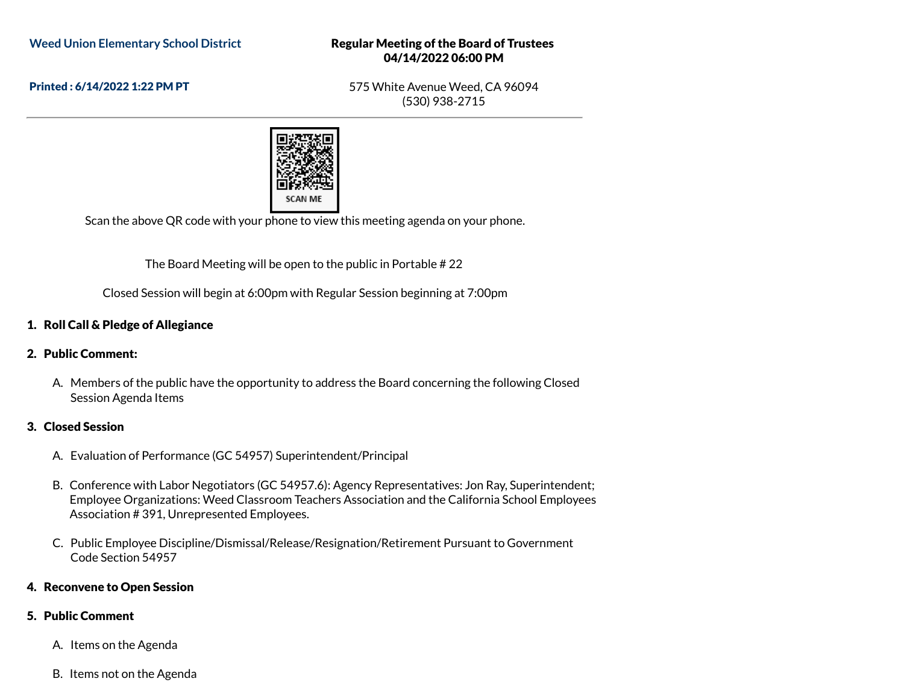#### Regular Meeting of the Board of Trustees 04/14/2022 06:00 PM

Printed : 6/14/2022 1:22 PM PT

575 White Avenue Weed, CA 96094 (530) 938-2715



Scan the above QR code with your phone to view this meeting agenda on your phone.

The Board Meeting will be open to the public in Portable # 22

Closed Session will begin at 6:00pm with Regular Session beginning at 7:00pm

# 1. Roll Call & Pledge of Allegiance

## 2. Public Comment:

A. Members of the public have the opportunity to address the Board concerning the following Closed Session Agenda Items

## 3. Closed Session

- A. Evaluation of Performance (GC 54957) Superintendent/Principal
- B. Conference with Labor Negotiators (GC 54957.6): Agency Representatives: Jon Ray, Superintendent; Employee Organizations: Weed Classroom Teachers Association and the California School Employees Association # 391, Unrepresented Employees.
- C. Public Employee Discipline/Dismissal/Release/Resignation/Retirement Pursuant to Government Code Section 54957

## 4. Reconvene to Open Session

## 5. Public Comment

- A. Items on the Agenda
- B. Items not on the Agenda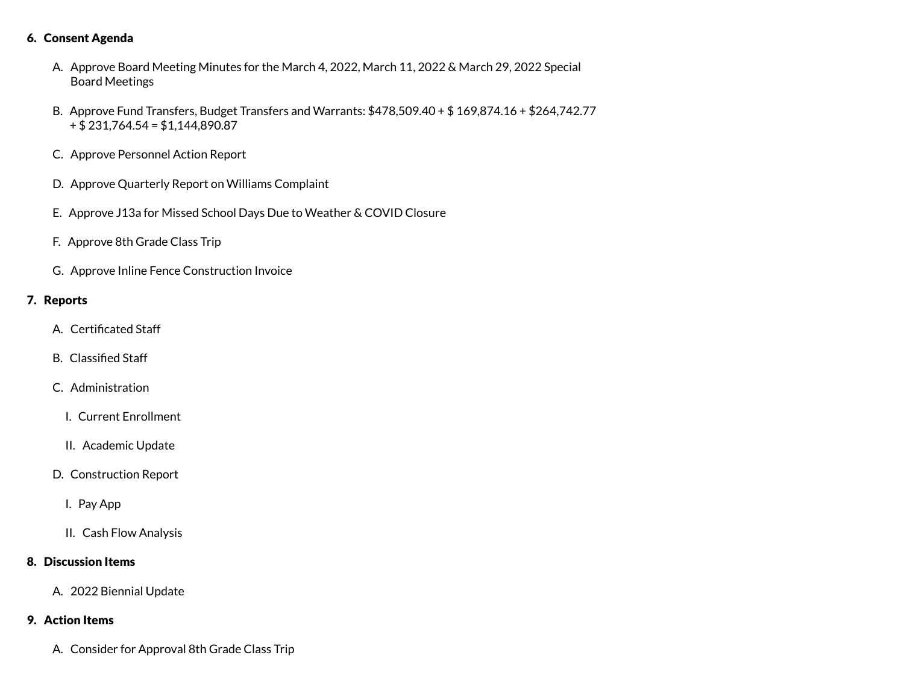#### 6. Consent Agenda

- A. Approve Board Meeting Minutes for the March 4, 2022, March 11, 2022 & March 29, 2022 Special Board Meetings
- B. Approve Fund Transfers, Budget Transfers and Warrants: \$478,509.40 + \$ 169,874.16 + \$264,742.77 + \$ 231,764.54 = \$1,144,890.87
- C. Approve Personnel Action Report
- D. Approve Quarterly Report on Williams Complaint
- E. Approve J13a for Missed School Days Due to Weather & COVID Closure
- F. Approve 8th Grade Class Trip
- G. Approve Inline Fence Construction Invoice

#### 7. Reports

- A. Certificated Staff
- B. Classified Staff
- C. Administration
	- I. Current Enrollment
	- II. Academic Update
- D. Construction Report
	- I. Pay App
	- II. Cash Flow Analysis

## 8. Discussion Items

A. 2022 Biennial Update

## 9. Action Items

A. Consider for Approval 8th Grade Class Trip